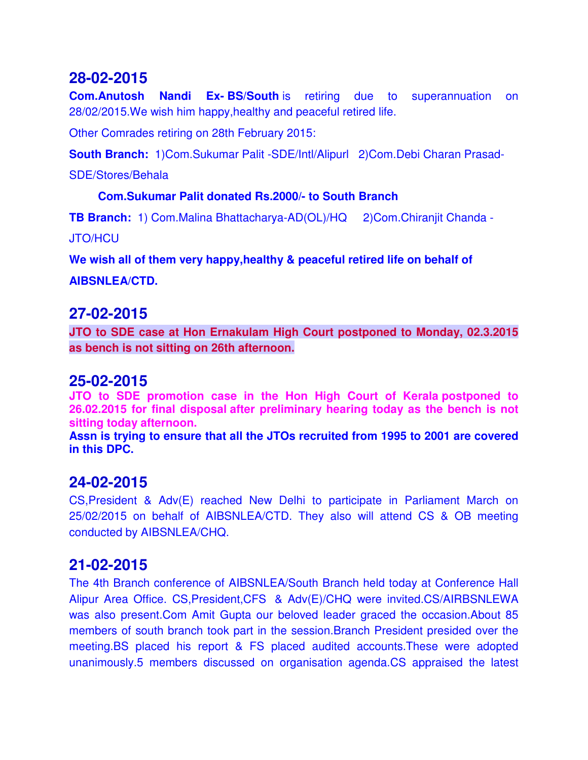**Com.Anutosh Nandi Ex- BS/South** is retiring due to superannuation on 28/02/2015.We wish him happy,healthy and peaceful retired life.

Other Comrades retiring on 28th February 2015:

**South Branch:** 1)Com.Sukumar Palit -SDE/Intl/Alipurl 2)Com.Debi Charan Prasad-

SDE/Stores/Behala

#### **Com.Sukumar Palit donated Rs.2000/- to South Branch**

**TB Branch:** 1) Com.Malina Bhattacharya-AD(OL)/HQ 2)Com.Chiranjit Chanda -

JTO/HCU

**We wish all of them very happy,healthy & peaceful retired life on behalf of** 

**AIBSNLEA/CTD.**

### **27-02-2015**

**JTO to SDE case at Hon Ernakulam High Court postponed to Monday, 02.3.2015 as bench is not sitting on 26th afternoon.**

#### **25-02-2015**

**JTO to SDE promotion case in the Hon High Court of Kerala postponed to 26.02.2015 for final disposal after preliminary hearing today as the bench is not sitting today afternoon.** 

**Assn is trying to ensure that all the JTOs recruited from 1995 to 2001 are covered in this DPC.**

### **24-02-2015**

CS,President & Adv(E) reached New Delhi to participate in Parliament March on 25/02/2015 on behalf of AIBSNLEA/CTD. They also will attend CS & OB meeting conducted by AIBSNLEA/CHQ.

# **21-02-2015**

The 4th Branch conference of AIBSNLEA/South Branch held today at Conference Hall Alipur Area Office. CS,President,CFS & Adv(E)/CHQ were invited.CS/AIRBSNLEWA was also present.Com Amit Gupta our beloved leader graced the occasion.About 85 members of south branch took part in the session.Branch President presided over the meeting.BS placed his report & FS placed audited accounts.These were adopted unanimously.5 members discussed on organisation agenda.CS appraised the latest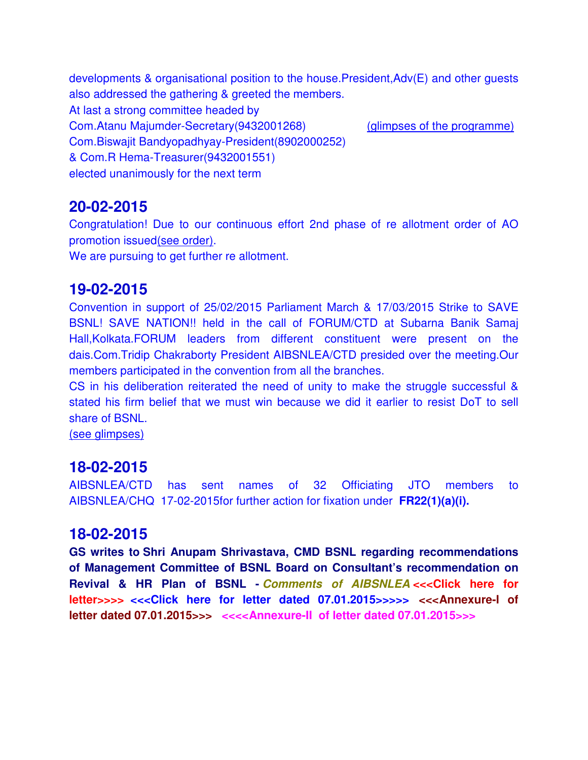developments & organisational position to the house.President,Adv(E) and other guests also addressed the gathering & greeted the members. At last a strong committee headed by Com.Atanu Majumder-Secretary(9432001268) (glimpses of the programme) Com.Biswajit Bandyopadhyay-President(8902000252) & Com.R Hema-Treasurer(9432001551) elected unanimously for the next term

### **20-02-2015**

Congratulation! Due to our continuous effort 2nd phase of re allotment order of AO promotion issued(see order).

We are pursuing to get further re allotment.

#### **19-02-2015**

Convention in support of 25/02/2015 Parliament March & 17/03/2015 Strike to SAVE BSNL! SAVE NATION!! held in the call of FORUM/CTD at Subarna Banik Samaj Hall,Kolkata.FORUM leaders from different constituent were present on the dais.Com.Tridip Chakraborty President AIBSNLEA/CTD presided over the meeting.Our members participated in the convention from all the branches.

CS in his deliberation reiterated the need of unity to make the struggle successful & stated his firm belief that we must win because we did it earlier to resist DoT to sell share of BSNL.

(see glimpses)

#### **18-02-2015**

AIBSNLEA/CTD has sent names of 32 Officiating JTO members to AIBSNLEA/CHQ 17-02-2015for further action for fixation under **FR22(1)(a)(i).**

#### **18-02-2015**

**GS writes to Shri Anupam Shrivastava, CMD BSNL regarding recommendations of Management Committee of BSNL Board on Consultant's recommendation on Revival & HR Plan of BSNL -** *Comments of AIBSNLEA* **<<<Click here for letter>>>> <<<Click here for letter dated 07.01.2015>>>>> <<<Annexure-I of letter dated 07.01.2015>>> <<<<Annexure-II of letter dated 07.01.2015>>>**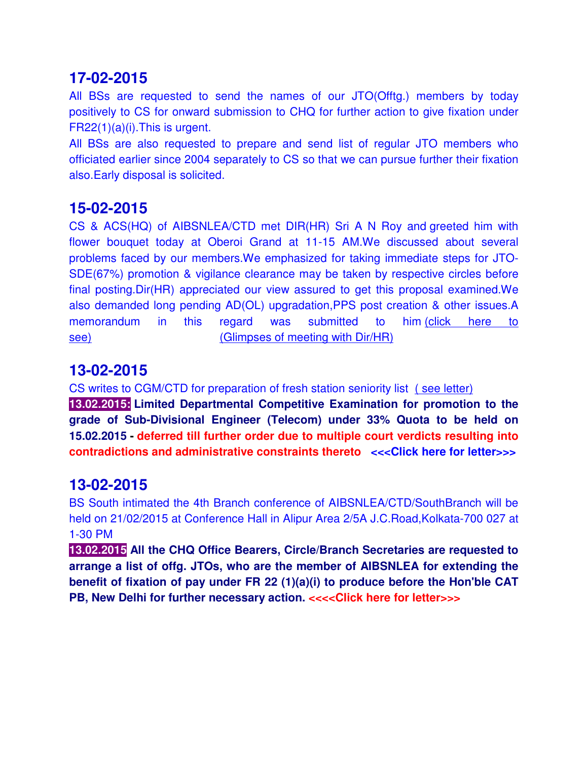All BSs are requested to send the names of our JTO(Offtg.) members by today positively to CS for onward submission to CHQ for further action to give fixation under FR22(1)(a)(i).This is urgent.

All BSs are also requested to prepare and send list of regular JTO members who officiated earlier since 2004 separately to CS so that we can pursue further their fixation also.Early disposal is solicited.

# **15-02-2015**

CS & ACS(HQ) of AIBSNLEA/CTD met DIR(HR) Sri A N Roy and greeted him with flower bouquet today at Oberoi Grand at 11-15 AM.We discussed about several problems faced by our members.We emphasized for taking immediate steps for JTO-SDE(67%) promotion & vigilance clearance may be taken by respective circles before final posting.Dir(HR) appreciated our view assured to get this proposal examined.We also demanded long pending AD(OL) upgradation,PPS post creation & other issues.A memorandum in this regard was submitted to him (click here to see) (Glimpses of meeting with Dir/HR)

# **13-02-2015**

CS writes to CGM/CTD for preparation of fresh station seniority list ( see letter)

**13.02.2015: Limited Departmental Competitive Examination for promotion to the grade of Sub-Divisional Engineer (Telecom) under 33% Quota to be held on 15.02.2015 - deferred till further order due to multiple court verdicts resulting into contradictions and administrative constraints thereto <<<Click here for letter>>>**

# **13-02-2015**

BS South intimated the 4th Branch conference of AIBSNLEA/CTD/SouthBranch will be held on 21/02/2015 at Conference Hall in Alipur Area 2/5A J.C.Road,Kolkata-700 027 at 1-30 PM

**13.02.2015 All the CHQ Office Bearers, Circle/Branch Secretaries are requested to arrange a list of offg. JTOs, who are the member of AIBSNLEA for extending the benefit of fixation of pay under FR 22 (1)(a)(i) to produce before the Hon'ble CAT PB, New Delhi for further necessary action.** <<<< Click here for letter>>>>>>>>>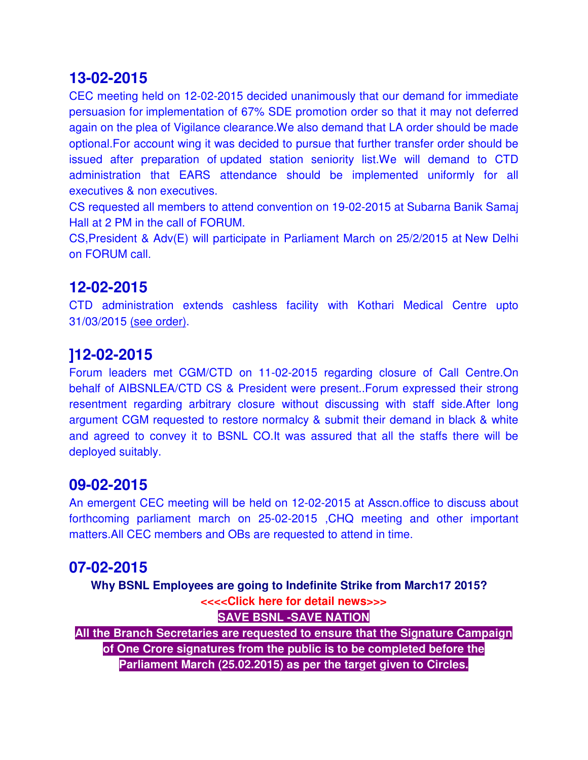CEC meeting held on 12-02-2015 decided unanimously that our demand for immediate persuasion for implementation of 67% SDE promotion order so that it may not deferred again on the plea of Vigilance clearance.We also demand that LA order should be made optional.For account wing it was decided to pursue that further transfer order should be issued after preparation of updated station seniority list.We will demand to CTD administration that EARS attendance should be implemented uniformly for all executives & non executives.

CS requested all members to attend convention on 19-02-2015 at Subarna Banik Samaj Hall at 2 PM in the call of FORUM.

CS,President & Adv(E) will participate in Parliament March on 25/2/2015 at New Delhi on FORUM call.

### **12-02-2015**

CTD administration extends cashless facility with Kothari Medical Centre upto 31/03/2015 (see order).

# **]12-02-2015**

Forum leaders met CGM/CTD on 11-02-2015 regarding closure of Call Centre.On behalf of AIBSNLEA/CTD CS & President were present..Forum expressed their strong resentment regarding arbitrary closure without discussing with staff side.After long argument CGM requested to restore normalcy & submit their demand in black & white and agreed to convey it to BSNL CO.It was assured that all the staffs there will be deployed suitably.

### **09-02-2015**

An emergent CEC meeting will be held on 12-02-2015 at Asscn.office to discuss about forthcoming parliament march on 25-02-2015 ,CHQ meeting and other important matters.All CEC members and OBs are requested to attend in time.

# **07-02-2015**

**Why BSNL Employees are going to Indefinite Strike from March17 2015? <<<<Click here for detail news>>> SAVE BSNL -SAVE NATION**

**All the Branch Secretaries are requested to ensure that the Signature Campaign of One Crore signatures from the public is to be completed before the Parliament March (25.02.2015) as per the target given to Circles.**